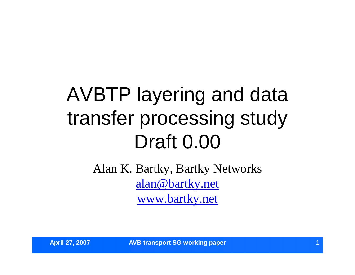# AVBTP layering and data transfer processing study Draft 0.00

Alan K. Bartky, Bartky Networks alan@bartky.net www.bartky.net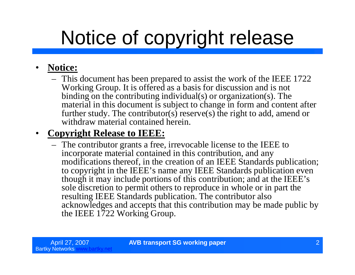# Notice of copyright release

#### • **Notice:**

– This document has been prepared to assist the work of the IEEE 1722 Working Group. It is offered as a basis for discussion and is not binding on the contributing individual(s) or organization(s). The material in this document is subject to change in form and content after further study. The contributor(s) reserve(s) the right to add, amend or withdraw material contained herein.

#### • **Copyright Release to IEEE:**

– The contributor grants a free, irrevocable license to the IEEE to incorporate material contained in this contribution, and any modifications thereof, in the creation of an IEEE Standards publication; to copyright in the IEEE's name any IEEE Standards publication even though it may include portions of this contribution; and at the IEEE's sole discretion to permit others to reproduce in whole or in part the resulting IEEE Standards publication. The contributor also acknowledges and accepts that this contribution may be made public by the IEEE 1722 Working Group.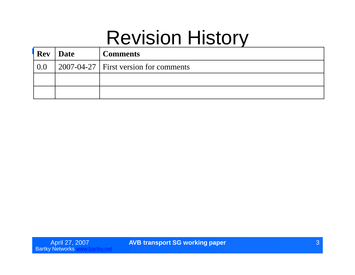#### Revision History

| <b>Rev</b> | Date | <b>Comments</b>                                       |
|------------|------|-------------------------------------------------------|
| 0.0        |      | $\vert$ 2007-04-27 $\vert$ First version for comments |
|            |      |                                                       |
|            |      |                                                       |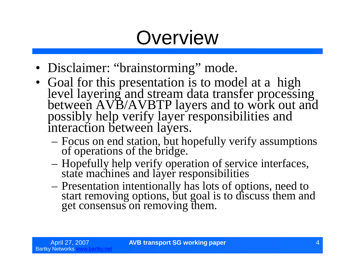## **Overview**

- Disclaimer: "brainstorming" mode.
- Goal for this presentation is to model at a high level layering and stream data transfer processing between AVB/AVBTP layers and to work out and possibly help verify layer responsibilities and interaction between layers.
	- –Focus on end station, but hopefully verify assumptions of operations of the bridge.
	- –Hopefully help verify operation of service interfaces, state machines and layer responsibilities
	- –Presentation intentionally has lots of options, need to start removing options, but goal is to discuss them and get consensus on removing them.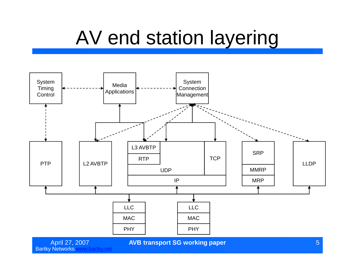#### AV end station layering



**AVB transport SG working paper** 5 and 5 and 5 and 5 and 5 and 5 and 5 and 5 and 5 and 5 and 5 and 5 and 5 and 5 and 5 and 5 and 5 and 5 and 5 and 5 and 5 and 5 and 5 and 5 and 5 and 5 and 5 and 5 and 5 and 5 and 5 and 5 a

April 27, 2007<br>Bartky Networks www.bartky.net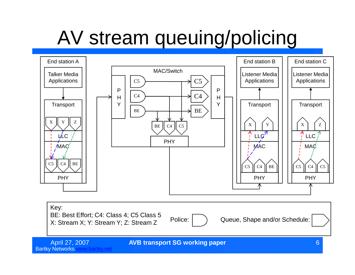# AV stream queuing/policing



Bartky Networks www.bartky.net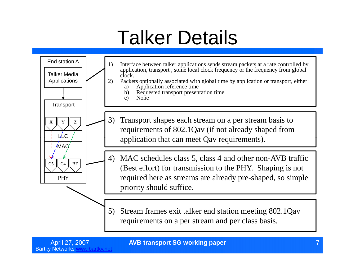## Talker Details

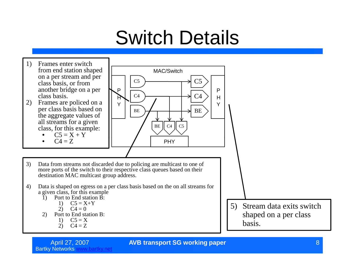## Switch Details



April 27, 2007 **AVB transport SG working paper** 8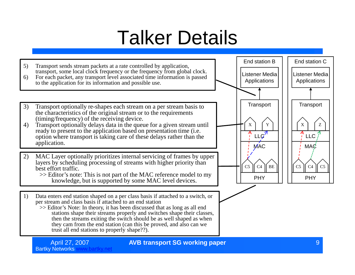## Talker Details

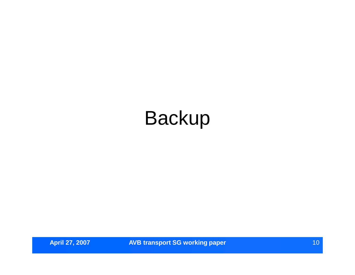## Backup

**April 27, 2007 <b>AVB transport SG working paper April 27, 2007 10**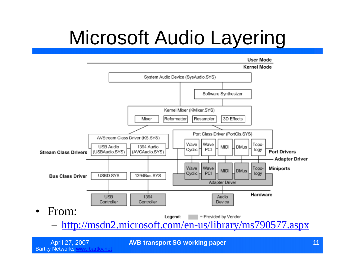# Microsoft Audio Layering



April 27, 2007 **AVB transport SG working paper** 11